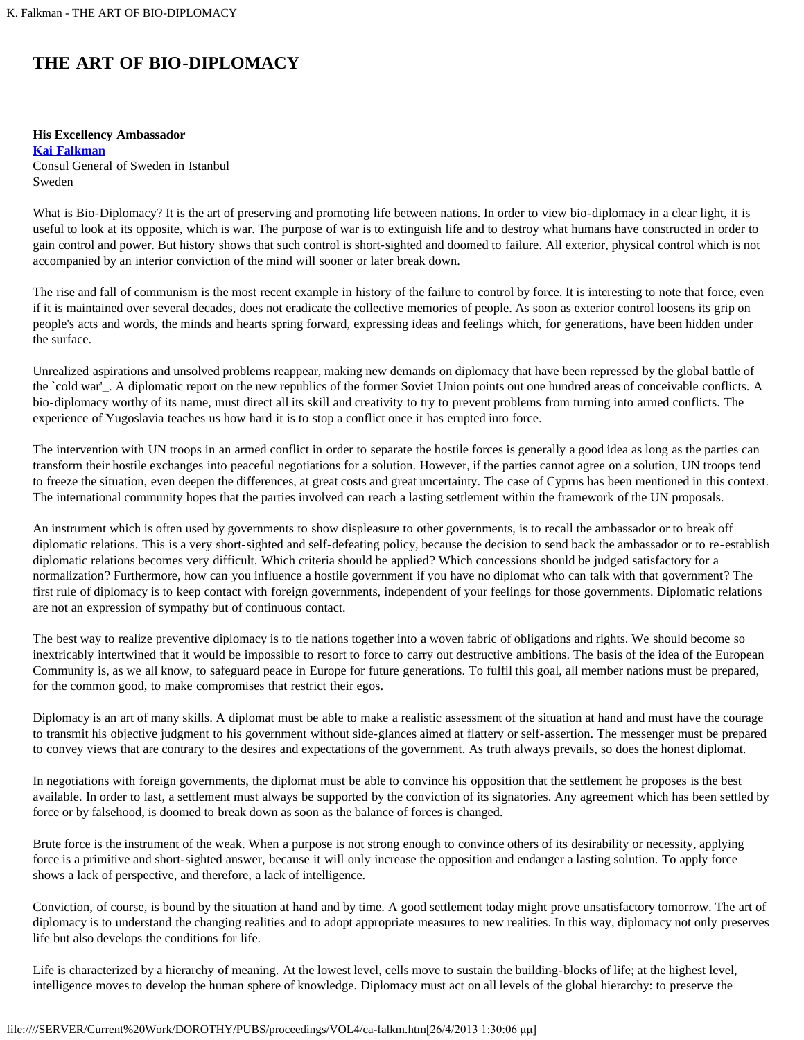## **THE ART OF BIO-DIPLOMACY**

## **His Excellency Ambassador**

**[Kai Falkman](#page-1-0)** Consul General of Sweden in Istanbul Sweden

What is Bio-Diplomacy? It is the art of preserving and promoting life between nations. In order to view bio-diplomacy in a clear light, it is useful to look at its opposite, which is war. The purpose of war is to extinguish life and to destroy what humans have constructed in order to gain control and power. But history shows that such control is short-sighted and doomed to failure. All exterior, physical control which is not accompanied by an interior conviction of the mind will sooner or later break down.

The rise and fall of communism is the most recent example in history of the failure to control by force. It is interesting to note that force, even if it is maintained over several decades, does not eradicate the collective memories of people. As soon as exterior control loosens its grip on people's acts and words, the minds and hearts spring forward, expressing ideas and feelings which, for generations, have been hidden under the surface.

Unrealized aspirations and unsolved problems reappear, making new demands on diplomacy that have been repressed by the global battle of the `cold war'\_. A diplomatic report on the new republics of the former Soviet Union points out one hundred areas of conceivable conflicts. A bio-diplomacy worthy of its name, must direct all its skill and creativity to try to prevent problems from turning into armed conflicts. The experience of Yugoslavia teaches us how hard it is to stop a conflict once it has erupted into force.

The intervention with UN troops in an armed conflict in order to separate the hostile forces is generally a good idea as long as the parties can transform their hostile exchanges into peaceful negotiations for a solution. However, if the parties cannot agree on a solution, UN troops tend to freeze the situation, even deepen the differences, at great costs and great uncertainty. The case of Cyprus has been mentioned in this context. The international community hopes that the parties involved can reach a lasting settlement within the framework of the UN proposals.

An instrument which is often used by governments to show displeasure to other governments, is to recall the ambassador or to break off diplomatic relations. This is a very short-sighted and self-defeating policy, because the decision to send back the ambassador or to re-establish diplomatic relations becomes very difficult. Which criteria should be applied? Which concessions should be judged satisfactory for a normalization? Furthermore, how can you influence a hostile government if you have no diplomat who can talk with that government? The first rule of diplomacy is to keep contact with foreign governments, independent of your feelings for those governments. Diplomatic relations are not an expression of sympathy but of continuous contact.

The best way to realize preventive diplomacy is to tie nations together into a woven fabric of obligations and rights. We should become so inextricably intertwined that it would be impossible to resort to force to carry out destructive ambitions. The basis of the idea of the European Community is, as we all know, to safeguard peace in Europe for future generations. To fulfil this goal, all member nations must be prepared, for the common good, to make compromises that restrict their egos.

Diplomacy is an art of many skills. A diplomat must be able to make a realistic assessment of the situation at hand and must have the courage to transmit his objective judgment to his government without side-glances aimed at flattery or self-assertion. The messenger must be prepared to convey views that are contrary to the desires and expectations of the government. As truth always prevails, so does the honest diplomat.

In negotiations with foreign governments, the diplomat must be able to convince his opposition that the settlement he proposes is the best available. In order to last, a settlement must always be supported by the conviction of its signatories. Any agreement which has been settled by force or by falsehood, is doomed to break down as soon as the balance of forces is changed.

Brute force is the instrument of the weak. When a purpose is not strong enough to convince others of its desirability or necessity, applying force is a primitive and short-sighted answer, because it will only increase the opposition and endanger a lasting solution. To apply force shows a lack of perspective, and therefore, a lack of intelligence.

Conviction, of course, is bound by the situation at hand and by time. A good settlement today might prove unsatisfactory tomorrow. The art of diplomacy is to understand the changing realities and to adopt appropriate measures to new realities. In this way, diplomacy not only preserves life but also develops the conditions for life.

Life is characterized by a hierarchy of meaning. At the lowest level, cells move to sustain the building-blocks of life; at the highest level, intelligence moves to develop the human sphere of knowledge. Diplomacy must act on all levels of the global hierarchy: to preserve the